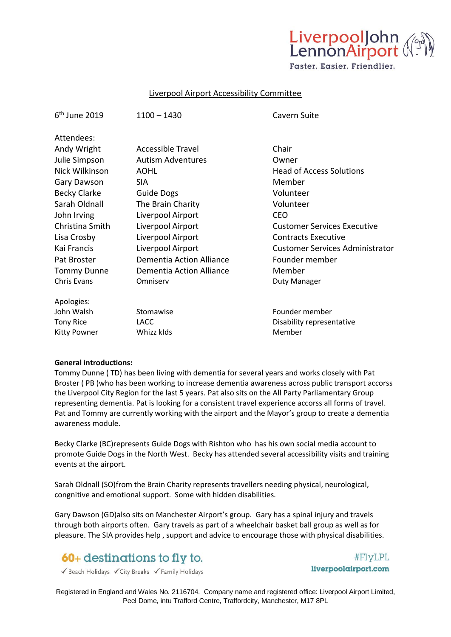

Faster, Easier, Friendlier.

## Liverpool Airport Accessibility Committee

| $6th$ June 2019     | $1100 - 1430$            | Cavern Suite                           |
|---------------------|--------------------------|----------------------------------------|
| Attendees:          |                          |                                        |
| Andy Wright         | Accessible Travel        | Chair                                  |
| Julie Simpson       | <b>Autism Adventures</b> | Owner                                  |
| Nick Wilkinson      | <b>AOHL</b>              | <b>Head of Access Solutions</b>        |
| <b>Gary Dawson</b>  | <b>SIA</b>               | Member                                 |
| <b>Becky Clarke</b> | Guide Dogs               | Volunteer                              |
| Sarah Oldnall       | The Brain Charity        | Volunteer                              |
| John Irving         | Liverpool Airport        | <b>CEO</b>                             |
| Christina Smith     | Liverpool Airport        | <b>Customer Services Executive</b>     |
| Lisa Crosby         | Liverpool Airport        | <b>Contracts Executive</b>             |
| Kai Francis         | Liverpool Airport        | <b>Customer Services Administrator</b> |
| Pat Broster         | Dementia Action Alliance | Founder member                         |
| <b>Tommy Dunne</b>  | Dementia Action Alliance | Member                                 |
| <b>Chris Evans</b>  | Omniserv                 | Duty Manager                           |
| Apologies:          |                          |                                        |
| John Walsh          | Stomawise                | Founder member                         |
| <b>Tony Rice</b>    | LACC                     | Disability representative              |
| Kitty Powner        | Whizz klds               | Member                                 |

#### **General introductions:**

Tommy Dunne ( TD) has been living with dementia for several years and works closely with Pat Broster ( PB )who has been working to increase dementia awareness across public transport accorss the Liverpool City Region for the last 5 years. Pat also sits on the All Party Parliamentary Group representing dementia. Pat is looking for a consistent travel experience accorss all forms of travel. Pat and Tommy are currently working with the airport and the Mayor's group to create a dementia awareness module.

Becky Clarke (BC)represents Guide Dogs with Rishton who has his own social media account to promote Guide Dogs in the North West. Becky has attended several accessibility visits and training events at the airport.

Sarah Oldnall (SO)from the Brain Charity represents travellers needing physical, neurological, congnitive and emotional support. Some with hidden disabilities.

Gary Dawson (GD)also sits on Manchester Airport's group. Gary has a spinal injury and travels through both airports often. Gary travels as part of a wheelchair basket ball group as well as for pleasure. The SIA provides help , support and advice to encourage those with physical disabilities.

# **60**+ destinations to fly to.

Geach Holidays VCity Breaks V Family Holidays

#FlyLPL liverpoolairport.com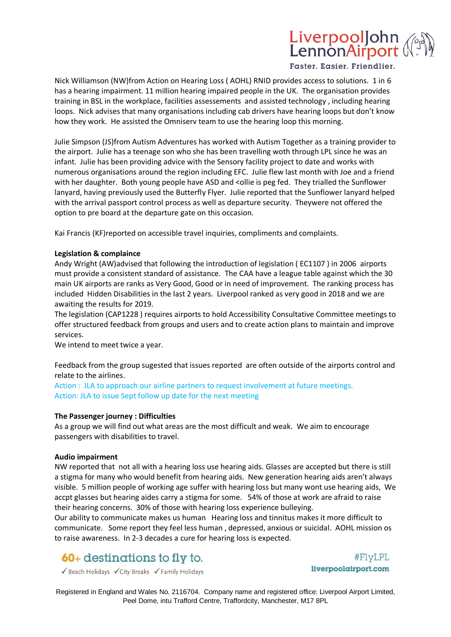

Faster, Easier, Friendlier,

Nick Williamson (NW)from Action on Hearing Loss ( AOHL) RNID provides access to solutions. 1 in 6 has a hearing impairment. 11 million hearing impaired people in the UK. The organisation provides training in BSL in the workplace, facilities assessements and assisted technology , including hearing loops. Nick advises that many organisations including cab drivers have hearing loops but don't know how they work. He assisted the Omniserv team to use the hearing loop this morning.

Julie Simpson (JS)from Autism Adventures has worked with Autism Together as a training provider to the airport. Julie has a teenage son who she has been travelling woth through LPL since he was an infant. Julie has been providing advice with the Sensory facility project to date and works with numerous organisations around the region including EFC. Julie flew last month with Joe and a friend with her daughter. Both young people have ASD and <ollie is peg fed. They trialled the Sunflower lanyard, having previously used the Butterfly Flyer. Julie reported that the Sunflower lanyard helped with the arrival passport control process as well as departure security. Theywere not offered the option to pre board at the departure gate on this occasion.

Kai Francis (KF)reported on accessible travel inquiries, compliments and complaints.

### **Legislation & complaince**

Andy Wright (AW)advised that following the introduction of legislation ( EC1107 ) in 2006 airports must provide a consistent standard of assistance. The CAA have a league table against which the 30 main UK airports are ranks as Very Good, Good or in need of improvement. The ranking process has included Hidden Disabilities in the last 2 years. Liverpool ranked as very good in 2018 and we are awaiting the results for 2019.

The legislation (CAP1228 ) requires airports to hold Accessibility Consultative Committee meetings to offer structured feedback from groups and users and to create action plans to maintain and improve services.

We intend to meet twice a year.

Feedback from the group sugested that issues reported are often outside of the airports control and relate to the airlines.

Action : JLA to approach our airline partners to request involvement at future meetings. Action: JLA to issue Sept follow up date for the next meeting

#### **The Passenger journey : Difficulties**

As a group we will find out what areas are the most difficult and weak. We aim to encourage passengers with disabilities to travel.

#### **Audio impairment**

NW reported that not all with a hearing loss use hearing aids. Glasses are accepted but there is still a stigma for many who would benefit from hearing aids. New generation hearing aids aren't always visible. 5 million people of working age suffer with hearing loss but many wont use hearing aids, We accpt glasses but hearing aides carry a stigma for some. 54% of those at work are afraid to raise their hearing concerns. 30% of those with hearing loss experience bulleying.

Our ability to communicate makes us human Hearing loss and tinnitus makes it more difficult to communicate. Some report they feel less human , depressed, anxious or suicidal. AOHL mission os to raise awareness. In 2-3 decades a cure for hearing loss is expected.

# **60**+ destinations to fly to.

 $#FlyLPL$ liverpoolairport.com

Geach Holidays VCity Breaks V Family Holidays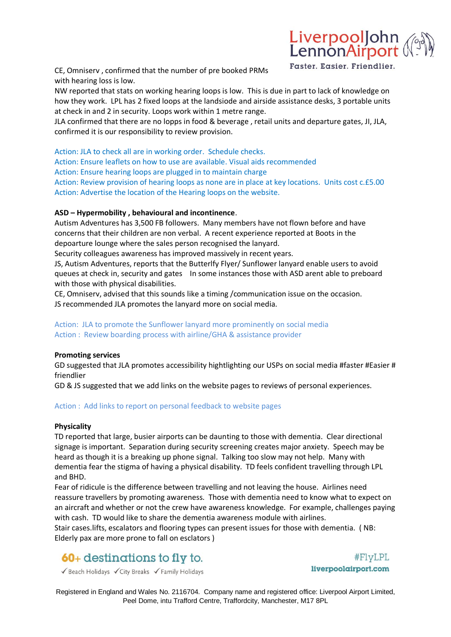

CE, Omniserv , confirmed that the number of pre booked PRMs with hearing loss is low.

NW reported that stats on working hearing loops is low. This is due in part to lack of knowledge on how they work. LPL has 2 fixed loops at the landsiode and airside assistance desks, 3 portable units at check in and 2 in security. Loops work within 1 metre range.

JLA confirmed that there are no lopps in food & beverage , retail units and departure gates, JI, JLA, confirmed it is our responsibility to review provision.

Action: JLA to check all are in working order. Schedule checks.

Action: Ensure leaflets on how to use are available. Visual aids recommended

Action: Ensure hearing loops are plugged in to maintain charge

Action: Review provision of hearing loops as none are in place at key locations. Units cost c.£5.00 Action: Advertise the location of the Hearing loops on the website.

# **ASD – Hypermobility , behavioural and incontinence**.

Autism Adventures has 3,500 FB followers. Many members have not flown before and have concerns that their children are non verbal. A recent experience reported at Boots in the depoarture lounge where the sales person recognised the lanyard.

Security colleagues awareness has improved massively in recent years.

JS, Autism Adventures, reports that the Butterlfy Flyer/ Sunflower lanyard enable users to avoid queues at check in, security and gates In some instances those with ASD arent able to preboard with those with physical disabilities.

CE, Omniserv, advised that this sounds like a timing /communication issue on the occasion. JS recommended JLA promotes the lanyard more on social media.

# Action: JLA to promote the Sunflower lanyard more prominently on social media Action : Review boarding process with airline/GHA & assistance provider

# **Promoting services**

GD suggested that JLA promotes accessibility hightlighting our USPs on social media #faster #Easier # friendlier

GD & JS suggested that we add links on the website pages to reviews of personal experiences.

# Action : Add links to report on personal feedback to website pages

# **Physicality**

TD reported that large, busier airports can be daunting to those with dementia. Clear directional signage is important. Separation during security screening creates major anxiety. Speech may be heard as though it is a breaking up phone signal. Talking too slow may not help. Many with dementia fear the stigma of having a physical disability. TD feels confident travelling through LPL and BHD.

Fear of ridicule is the difference between travelling and not leaving the house. Airlines need reassure travellers by promoting awareness. Those with dementia need to know what to expect on an aircraft and whether or not the crew have awareness knowledge. For example, challenges paying with cash. TD would like to share the dementia awareness module with airlines.

Stair cases.lifts, escalators and flooring types can present issues for those with dementia. ( NB: Elderly pax are more prone to fall on esclators )

# **60**+ destinations to fly to.

#FlyLPL liverpoolairport.com

Geach Holidays VCity Breaks V Family Holidays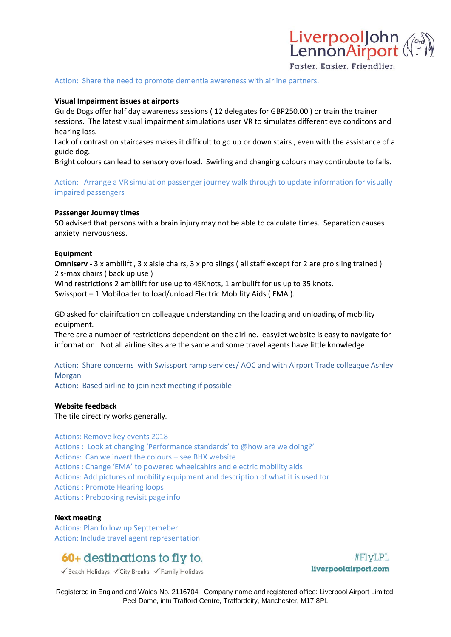

### **Visual Impairment issues at airports**

Guide Dogs offer half day awareness sessions ( 12 delegates for GBP250.00 ) or train the trainer sessions. The latest visual impairment simulations user VR to simulates different eye conditons and hearing loss.

Lack of contrast on staircases makes it difficult to go up or down stairs , even with the assistance of a guide dog.

Bright colours can lead to sensory overload. Swirling and changing colours may contirubute to falls.

Action: Arrange a VR simulation passenger journey walk through to update information for visually impaired passengers

#### **Passenger Journey times**

SO advised that persons with a brain injury may not be able to calculate times. Separation causes anxiety nervousness.

#### **Equipment**

**Omniserv** - 3 x ambilift, 3 x aisle chairs, 3 x pro slings ( all staff except for 2 are pro sling trained ) 2 s-max chairs ( back up use )

Wind restrictions 2 ambilift for use up to 45Knots, 1 ambulift for us up to 35 knots. Swissport – 1 Mobiloader to load/unload Electric Mobility Aids ( EMA ).

GD asked for clairifcation on colleague understanding on the loading and unloading of mobility equipment.

There are a number of restrictions dependent on the airline. easyJet website is easy to navigate for information. Not all airline sites are the same and some travel agents have little knowledge

Action: Share concerns with Swissport ramp services/ AOC and with Airport Trade colleague Ashley Morgan

Action: Based airline to join next meeting if possible

#### **Website feedback**

The tile directlry works generally.

Actions: Remove key events 2018

Actions : Look at changing 'Performance standards' to @how are we doing?' Actions: Can we invert the colours – see BHX website Actions : Change 'EMA' to powered wheelcahirs and electric mobility aids Actions: Add pictures of mobility equipment and description of what it is used for Actions : Promote Hearing loops Actions : Prebooking revisit page info

#### **Next meeting**

Actions: Plan follow up Septtemeber Action: Include travel agent representation

# **60**+ destinations to fly to.

Geach Holidays VCity Breaks V Family Holidays

 $#FlyLPL$ liverpoolairport.com

LiverpoolJohn<br>LennonAirport

Faster, Easier, Friendlier,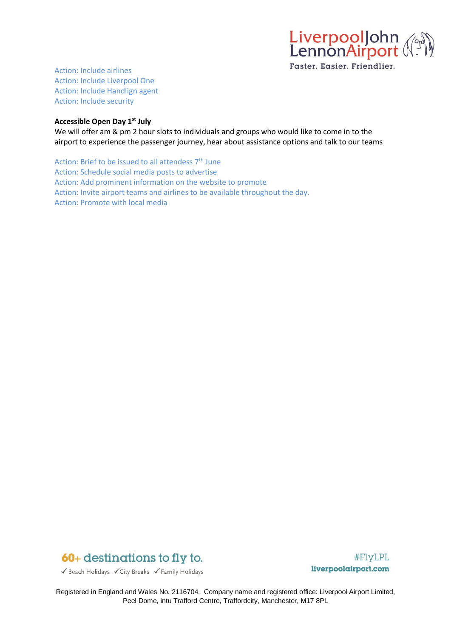

Action: Include airlines Action: Include Liverpool One Action: Include Handlign agent Action: Include security

# **Accessible Open Day 1st July**

We will offer am & pm 2 hour slots to individuals and groups who would like to come in to the airport to experience the passenger journey, hear about assistance options and talk to our teams

Action: Brief to be issued to all attendess  $7<sup>th</sup>$  June Action: Schedule social media posts to advertise Action: Add prominent information on the website to promote Action: Invite airport teams and airlines to be available throughout the day. Action: Promote with local media



#FlyLPL liverpoolairport.com

Geach Holidays VCity Breaks V Family Holidays